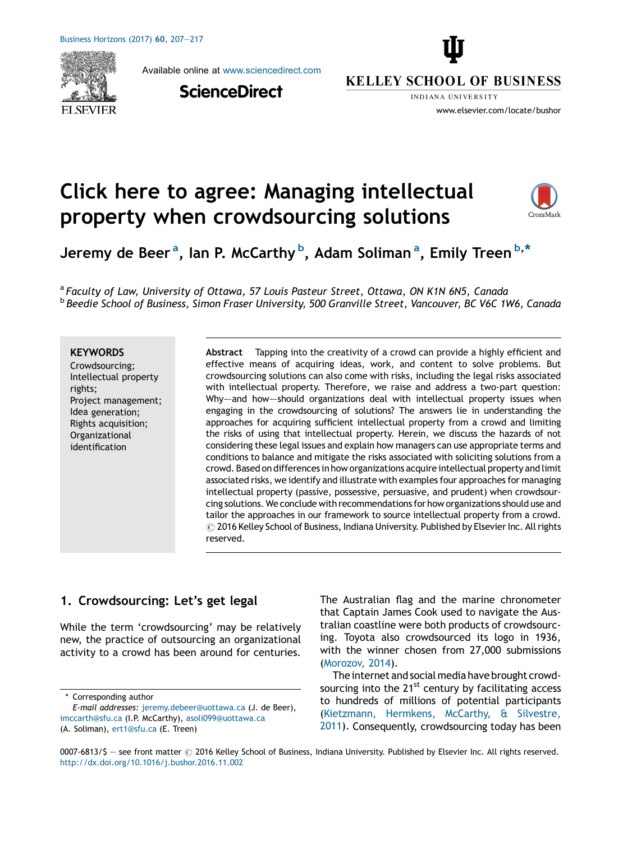

Available online at [www.sciencedirect.com](http://www.sciencedirect.com/science/journal/00076813)



**ScienceDirect** 

**INDIANA HNIVERSITY** www.elsevier.com/locate/bushor

# Click here to agree: Managing intellectual property when crowdsourcing solutions



Jeremy de Beer<sup>a</sup>, Ian P. McCarthy <sup>b</sup>, Adam Soliman <sup>a</sup>, Emily Treen <sup>b,\*</sup>

<sup>a</sup> Faculty of Law, University of Ottawa, 57 Louis Pasteur Street, Ottawa, ON K1N 6N5, Canada <sup>b</sup> Beedie School of Business, Simon Fraser University, 500 Granville Street, Vancouver, BC V6C 1W6, Canada

#### **KEYWORDS**

Crowdsourcing; Intellectual property rights; Project management; Idea generation; Rights acquisition; Organizational identification

Abstract Tapping into the creativity of a crowd can provide a highly efficient and effective means of acquiring ideas, work, and content to solve problems. But crowdsourcing solutions can also come with risks, including the legal risks associated with intellectual property. Therefore, we raise and address a two-part question: Why-and how-should organizations deal with intellectual property issues when engaging in the crowdsourcing of solutions? The answers lie in understanding the approaches for acquiring sufficient intellectual property from a crowd and limiting the risks of using that intellectual property. Herein, we discuss the hazards of not considering these legal issues and explain how managers can use appropriate terms and conditions to balance and mitigate the risks associated with soliciting solutions from a crowd. Based on differencesin how organizations acquire intellectual property and limit associated risks, we identify and illustrate with examples four approaches for managing intellectual property (passive, possessive, persuasive, and prudent) when crowdsourcing solutions. We conclude with recommendationsfor how organizationsshould use and tailor the approaches in our framework to source intellectual property from a crowd. © 2016 Kelley School of Business, Indiana University. Published by Elsevier Inc. All rights reserved.

# 1. Crowdsourcing: Let's get legal

While the term 'crowdsourcing' may be relatively new, the practice of outsourcing an organizational activity to a crowd has been around for centuries.

The Australian flag and the marine chronometer that Captain James Cook used to navigate the Australian coastline were both products of crowdsourcing. Toyota also crowdsourced its logo in 1936, with the winner chosen from 27,000 submissions [\(Morozov,](#page-9-0) 2014).

The internet and social media have brought crowdsourcing into the  $21^{st}$  century by facilitating access to hundreds of millions of potential participants [\(Kietzmann,](#page-9-0) Hermkens, McCarthy, & Silvestre, [2011](#page-9-0)). Consequently, crowdsourcing today has been

<sup>\*</sup> Corresponding author

E-mail addresses: [jeremy.debeer@uottawa.ca](mailto:jeremy.debeer@uottawa.ca) (J. de Beer), [imccarth@sfu.ca](mailto:imccarth@sfu.ca) (I.P. McCarthy), [asoli099@uottawa.ca](mailto:asoli099@uottawa.ca) (A. Soliman), [ert1@sfu.ca](mailto:ert1@sfu.ca) (E. Treen)

<sup>0007-6813/\$ -</sup> see front matter @ 2016 Kelley School of Business, Indiana University. Published by Elsevier Inc. All rights reserved. <http://dx.doi.org/10.1016/j.bushor.2016.11.002>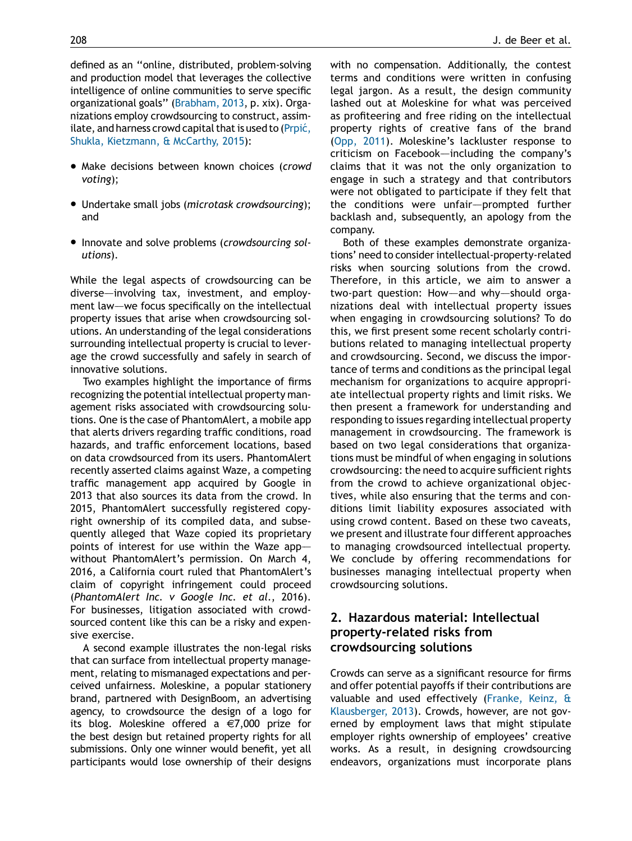defined as an ''online, distributed, problem-solving and production model that leverages the collective intelligence of online communities to serve specific organizational goals'' [\(Brabham,](#page-9-0) 2013, p. xix). Organizations employ crowdsourcing to construct, assimilate, and harness crowd capital that is used to (Prpić, Shukla, [Kietzmann,](#page-10-0) & McCarthy, 2015):

- $\bullet$  Make decisions between known choices (crowd voting);
- $\bullet$  Undertake small jobs (microtask crowdsourcing); and
- Innovate and solve problems (crowdsourcing solutions).

While the legal aspects of crowdsourcing can be diverse–—involving tax, investment, and employment law–—we focus specifically on the intellectual property issues that arise when crowdsourcing solutions. An understanding of the legal considerations surrounding intellectual property is crucial to leverage the crowd successfully and safely in search of innovative solutions.

Two examples highlight the importance of firms recognizing the potential intellectual property management risks associated with crowdsourcing solutions. One is the case of PhantomAlert, a mobile app that alerts drivers regarding traffic conditions, road hazards, and traffic enforcement locations, based on data crowdsourced from its users. PhantomAlert recently asserted claims against Waze, a competing traffic management app acquired by Google in 2013 that also sources its data from the crowd. In 2015, PhantomAlert successfully registered copyright ownership of its compiled data, and subsequently alleged that Waze copied its proprietary points of interest for use within the Waze appwithout PhantomAlert's permission. On March 4, 2016, a California court ruled that PhantomAlert's claim of copyright infringement could proceed (PhantomAlert Inc. v Google Inc. et al., 2016). For businesses, litigation associated with crowdsourced content like this can be a risky and expensive exercise.

A second example illustrates the non-legal risks that can surface from intellectual property management, relating to mismanaged expectations and perceived unfairness. Moleskine, a popular stationery brand, partnered with DesignBoom, an advertising agency, to crowdsource the design of a logo for its blog. Moleskine offered a  $\in$ 7,000 prize for the best design but retained property rights for all submissions. Only one winner would benefit, yet all participants would lose ownership of their designs with no compensation. Additionally, the contest terms and conditions were written in confusing legal jargon. As a result, the design community lashed out at Moleskine for what was perceived as profiteering and free riding on the intellectual property rights of creative fans of the brand [\(Opp,](#page-9-0) 2011). Moleskine's lackluster response to criticism on Facebook–—including the company's claims that it was not the only organization to engage in such a strategy and that contributors were not obligated to participate if they felt that the conditions were unfair–—prompted further backlash and, subsequently, an apology from the company.

Both of these examples demonstrate organizations' need to consider intellectual-property-related risks when sourcing solutions from the crowd. Therefore, in this article, we aim to answer a two-part question: How–—and why–—should organizations deal with intellectual property issues when engaging in crowdsourcing solutions? To do this, we first present some recent scholarly contributions related to managing intellectual property and crowdsourcing. Second, we discuss the importance of terms and conditions as the principal legal mechanism for organizations to acquire appropriate intellectual property rights and limit risks. We then present a framework for understanding and responding to issues regarding intellectual property management in crowdsourcing. The framework is based on two legal considerations that organizations must be mindful of when engaging in solutions crowdsourcing: the need to acquire sufficient rights from the crowd to achieve organizational objectives, while also ensuring that the terms and conditions limit liability exposures associated with using crowd content. Based on these two caveats, we present and illustrate four different approaches to managing crowdsourced intellectual property. We conclude by offering recommendations for businesses managing intellectual property when crowdsourcing solutions.

## 2. Hazardous material: Intellectual property-related risks from crowdsourcing solutions

Crowds can serve as a significant resource for firms and offer potential payoffs if their contributions are valuable and used effectively [\(Franke,](#page-9-0) Keinz, & [Klausberger,](#page-9-0) 2013). Crowds, however, are not governed by employment laws that might stipulate employer rights ownership of employees' creative works. As a result, in designing crowdsourcing endeavors, organizations must incorporate plans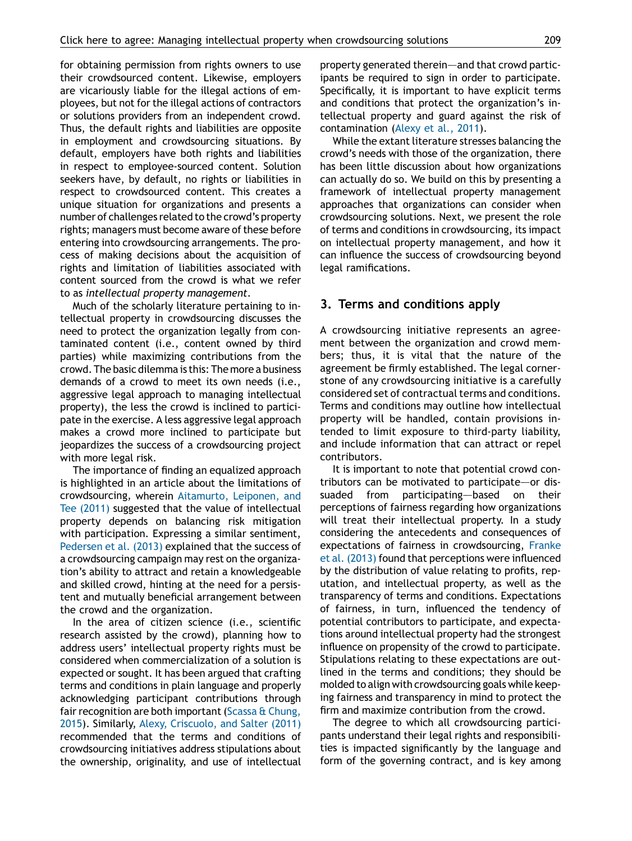for obtaining permission from rights owners to use their crowdsourced content. Likewise, employers are vicariously liable for the illegal actions of employees, but not for the illegal actions of contractors or solutions providers from an independent crowd. Thus, the default rights and liabilities are opposite in employment and crowdsourcing situations. By default, employers have both rights and liabilities in respect to employee-sourced content. Solution seekers have, by default, no rights or liabilities in respect to crowdsourced content. This creates a unique situation for organizations and presents a number of challengesrelated to the crowd's property rights; managers must become aware of these before entering into crowdsourcing arrangements. The process of making decisions about the acquisition of rights and limitation of liabilities associated with content sourced from the crowd is what we refer to as intellectual property management.

Much of the scholarly literature pertaining to intellectual property in crowdsourcing discusses the need to protect the organization legally from contaminated content (i.e., content owned by third parties) while maximizing contributions from the crowd. The basic dilemma isthis: The more a business demands of a crowd to meet its own needs (i.e., aggressive legal approach to managing intellectual property), the less the crowd is inclined to participate in the exercise. A less aggressive legal approach makes a crowd more inclined to participate but jeopardizes the success of a crowdsourcing project with more legal risk.

The importance of finding an equalized approach is highlighted in an article about the limitations of crowdsourcing, wherein [Aitamurto,](#page-9-0) Leiponen, and Tee [\(2011\)](#page-9-0) suggested that the value of intellectual property depends on balancing risk mitigation with participation. Expressing a similar sentiment, [Pedersen](#page-9-0) et al. (2013) explained that the success of a crowdsourcing campaign may rest on the organization's ability to attract and retain a knowledgeable and skilled crowd, hinting at the need for a persistent and mutually beneficial arrangement between the crowd and the organization.

In the area of citizen science (i.e., scientific research assisted by the crowd), planning how to address users' intellectual property rights must be considered when commercialization of a solution is expected or sought. It has been argued that crafting terms and conditions in plain language and properly acknowledging participant contributions through fair recognition are both important (Scassa & [Chung,](#page-10-0) [2015](#page-10-0)). Similarly, Alexy, [Criscuolo,](#page-9-0) and Salter (2011) recommended that the terms and conditions of crowdsourcing initiatives address stipulations about the ownership, originality, and use of intellectual property generated therein–—and that crowd participants be required to sign in order to participate. Specifically, it is important to have explicit terms and conditions that protect the organization's intellectual property and guard against the risk of contamination ([Alexy](#page-9-0) et al., 2011).

While the extant literature stresses balancing the crowd's needs with those of the organization, there has been little discussion about how organizations can actually do so. We build on this by presenting a framework of intellectual property management approaches that organizations can consider when crowdsourcing solutions. Next, we present the role of terms and conditions in crowdsourcing, its impact on intellectual property management, and how it can influence the success of crowdsourcing beyond legal ramifications.

## 3. Terms and conditions apply

A crowdsourcing initiative represents an agreement between the organization and crowd members; thus, it is vital that the nature of the agreement be firmly established. The legal cornerstone of any crowdsourcing initiative is a carefully considered set of contractual terms and conditions. Terms and conditions may outline how intellectual property will be handled, contain provisions intended to limit exposure to third-party liability, and include information that can attract or repel contributors.

It is important to note that potential crowd contributors can be motivated to participate-or dissuaded from participating-based on their perceptions of fairness regarding how organizations will treat their intellectual property. In a study considering the antecedents and consequences of expectations of fairness in crowdsourcing, [Franke](#page-9-0) et al. [\(2013\)](#page-9-0) found that perceptions were influenced by the distribution of value relating to profits, reputation, and intellectual property, as well as the transparency of terms and conditions. Expectations of fairness, in turn, influenced the tendency of potential contributors to participate, and expectations around intellectual property had the strongest influence on propensity of the crowd to participate. Stipulations relating to these expectations are outlined in the terms and conditions; they should be molded to align with crowdsourcing goals while keeping fairness and transparency in mind to protect the firm and maximize contribution from the crowd.

The degree to which all crowdsourcing participants understand their legal rights and responsibilities is impacted significantly by the language and form of the governing contract, and is key among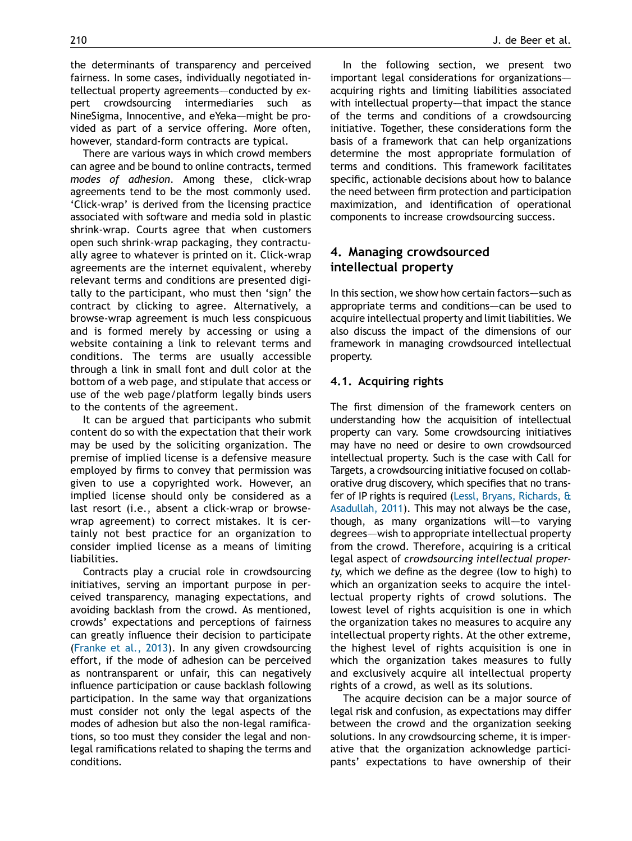the determinants of transparency and perceived fairness. In some cases, individually negotiated intellectual property agreements-conducted by expert crowdsourcing intermediaries such as NineSigma, Innocentive, and eYeka–—might be provided as part of a service offering. More often, however, standard-form contracts are typical.

There are various ways in which crowd members can agree and be bound to online contracts, termed modes of adhesion. Among these, click-wrap agreements tend to be the most commonly used. 'Click-wrap' is derived from the licensing practice associated with software and media sold in plastic shrink-wrap. Courts agree that when customers open such shrink-wrap packaging, they contractually agree to whatever is printed on it. Click-wrap agreements are the internet equivalent, whereby relevant terms and conditions are presented digitally to the participant, who must then 'sign' the contract by clicking to agree. Alternatively, a browse-wrap agreement is much less conspicuous and is formed merely by accessing or using a website containing a link to relevant terms and conditions. The terms are usually accessible through a link in small font and dull color at the bottom of a web page, and stipulate that access or use of the web page/platform legally binds users to the contents of the agreement.

It can be argued that participants who submit content do so with the expectation that their work may be used by the soliciting organization. The premise of implied license is a defensive measure employed by firms to convey that permission was given to use a copyrighted work. However, an implied license should only be considered as a last resort (i.e., absent a click-wrap or browsewrap agreement) to correct mistakes. It is certainly not best practice for an organization to consider implied license as a means of limiting liabilities.

Contracts play a crucial role in crowdsourcing initiatives, serving an important purpose in perceived transparency, managing expectations, and avoiding backlash from the crowd. As mentioned, crowds' expectations and perceptions of fairness can greatly influence their decision to participate ([Franke](#page-9-0) et al., 2013). In any given crowdsourcing effort, if the mode of adhesion can be perceived as nontransparent or unfair, this can negatively influence participation or cause backlash following participation. In the same way that organizations must consider not only the legal aspects of the modes of adhesion but also the non-legal ramifications, so too must they consider the legal and nonlegal ramifications related to shaping the terms and conditions.

In the following section, we present two important legal considerations for organizations– acquiring rights and limiting liabilities associated with intellectual property—that impact the stance of the terms and conditions of a crowdsourcing initiative. Together, these considerations form the basis of a framework that can help organizations determine the most appropriate formulation of terms and conditions. This framework facilitates specific, actionable decisions about how to balance the need between firm protection and participation maximization, and identification of operational components to increase crowdsourcing success.

# 4. Managing crowdsourced intellectual property

In this section, we show how certain factors–—such as appropriate terms and conditions–—can be used to acquire intellectual property and limit liabilities. We also discuss the impact of the dimensions of our framework in managing crowdsourced intellectual property.

## 4.1. Acquiring rights

The first dimension of the framework centers on understanding how the acquisition of intellectual property can vary. Some crowdsourcing initiatives may have no need or desire to own crowdsourced intellectual property. Such is the case with Call for Targets, a crowdsourcing initiative focused on collaborative drug discovery, which specifies that no transfer of IP rights is required (Lessl, Bryans, [Richards,](#page-9-0) & [Asadullah,](#page-9-0) 2011). This may not always be the case, though, as many organizations will–—to varying degrees–—wish to appropriate intellectual property from the crowd. Therefore, acquiring is a critical legal aspect of crowdsourcing intellectual property, which we define as the degree (low to high) to which an organization seeks to acquire the intellectual property rights of crowd solutions. The lowest level of rights acquisition is one in which the organization takes no measures to acquire any intellectual property rights. At the other extreme, the highest level of rights acquisition is one in which the organization takes measures to fully and exclusively acquire all intellectual property rights of a crowd, as well as its solutions.

The acquire decision can be a major source of legal risk and confusion, as expectations may differ between the crowd and the organization seeking solutions. In any crowdsourcing scheme, it is imperative that the organization acknowledge participants' expectations to have ownership of their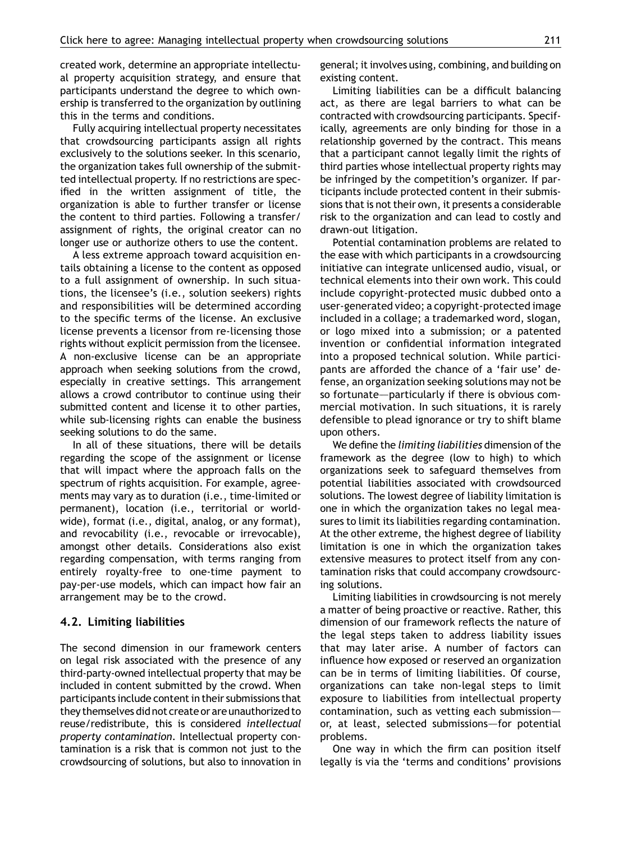created work, determine an appropriate intellectual property acquisition strategy, and ensure that participants understand the degree to which ownership is transferred to the organization by outlining this in the terms and conditions.

Fully acquiring intellectual property necessitates that crowdsourcing participants assign all rights exclusively to the solutions seeker. In this scenario, the organization takes full ownership of the submitted intellectual property. If no restrictions are specified in the written assignment of title, the organization is able to further transfer or license the content to third parties. Following a transfer/ assignment of rights, the original creator can no longer use or authorize others to use the content.

A less extreme approach toward acquisition entails obtaining a license to the content as opposed to a full assignment of ownership. In such situations, the licensee's (i.e., solution seekers) rights and responsibilities will be determined according to the specific terms of the license. An exclusive license prevents a licensor from re-licensing those rights without explicit permission from the licensee. A non-exclusive license can be an appropriate approach when seeking solutions from the crowd, especially in creative settings. This arrangement allows a crowd contributor to continue using their submitted content and license it to other parties, while sub-licensing rights can enable the business seeking solutions to do the same.

In all of these situations, there will be details regarding the scope of the assignment or license that will impact where the approach falls on the spectrum of rights acquisition. For example, agreements may vary as to duration (i.e., time-limited or permanent), location (i.e., territorial or worldwide), format (i.e., digital, analog, or any format), and revocability (i.e., revocable or irrevocable), amongst other details. Considerations also exist regarding compensation, with terms ranging from entirely royalty-free to one-time payment to pay-per-use models, which can impact how fair an arrangement may be to the crowd.

#### 4.2. Limiting liabilities

The second dimension in our framework centers on legal risk associated with the presence of any third-party-owned intellectual property that may be included in content submitted by the crowd. When participants include content in their submissions that they themselves did not create or are unauthorized to reuse/redistribute, this is considered intellectual property contamination. Intellectual property contamination is a risk that is common not just to the crowdsourcing of solutions, but also to innovation in general; it involves using, combining, and building on existing content.

Limiting liabilities can be a difficult balancing act, as there are legal barriers to what can be contracted with crowdsourcing participants. Specifically, agreements are only binding for those in a relationship governed by the contract. This means that a participant cannot legally limit the rights of third parties whose intellectual property rights may be infringed by the competition's organizer. If participants include protected content in their submissions that is not their own, it presents a considerable risk to the organization and can lead to costly and drawn-out litigation.

Potential contamination problems are related to the ease with which participants in a crowdsourcing initiative can integrate unlicensed audio, visual, or technical elements into their own work. This could include copyright-protected music dubbed onto a user-generated video; a copyright-protected image included in a collage; a trademarked word, slogan, or logo mixed into a submission; or a patented invention or confidential information integrated into a proposed technical solution. While participants are afforded the chance of a 'fair use' defense, an organization seeking solutions may not be so fortunate–—particularly if there is obvious commercial motivation. In such situations, it is rarely defensible to plead ignorance or try to shift blame upon others.

We define the limiting liabilities dimension of the framework as the degree (low to high) to which organizations seek to safeguard themselves from potential liabilities associated with crowdsourced solutions. The lowest degree of liability limitation is one in which the organization takes no legal measures to limit its liabilities regarding contamination. At the other extreme, the highest degree of liability limitation is one in which the organization takes extensive measures to protect itself from any contamination risks that could accompany crowdsourcing solutions.

Limiting liabilities in crowdsourcing is not merely a matter of being proactive or reactive. Rather, this dimension of our framework reflects the nature of the legal steps taken to address liability issues that may later arise. A number of factors can influence how exposed or reserved an organization can be in terms of limiting liabilities. Of course, organizations can take non-legal steps to limit exposure to liabilities from intellectual property contamination, such as vetting each submission– or, at least, selected submissions–—for potential problems.

One way in which the firm can position itself legally is via the 'terms and conditions' provisions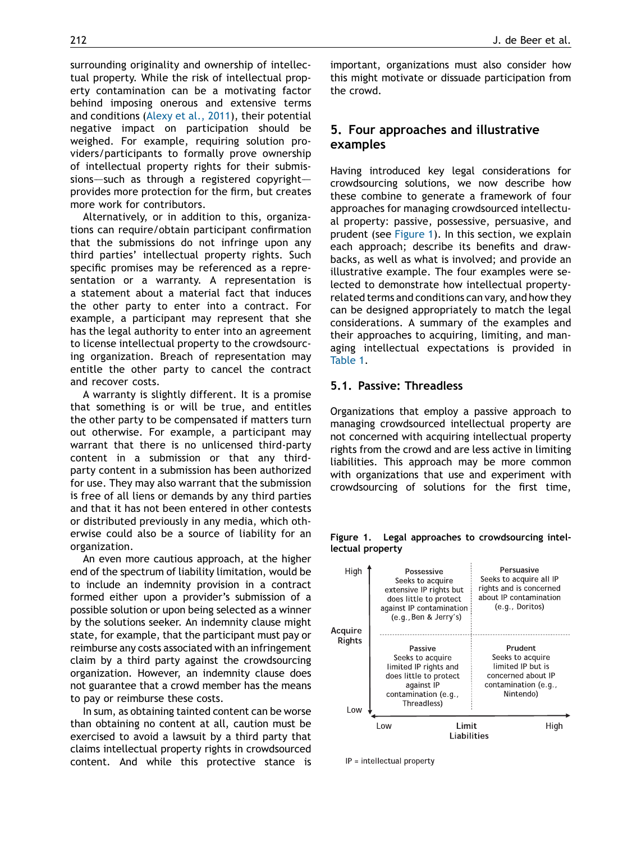surrounding originality and ownership of intellectual property. While the risk of intellectual property contamination can be a motivating factor behind imposing onerous and extensive terms and conditions [\(Alexy](#page-9-0) et al., 2011), their potential negative impact on participation should be weighed. For example, requiring solution providers/participants to formally prove ownership of intellectual property rights for their submissions—such as through a registered copyright provides more protection for the firm, but creates more work for contributors.

Alternatively, or in addition to this, organizations can require/obtain participant confirmation that the submissions do not infringe upon any third parties' intellectual property rights. Such specific promises may be referenced as a representation or a warranty. A representation is a statement about a material fact that induces the other party to enter into a contract. For example, a participant may represent that she has the legal authority to enter into an agreement to license intellectual property to the crowdsourcing organization. Breach of representation may entitle the other party to cancel the contract and recover costs.

A warranty is slightly different. It is a promise that something is or will be true, and entitles the other party to be compensated if matters turn out otherwise. For example, a participant may warrant that there is no unlicensed third-party content in a submission or that any thirdparty content in a submission has been authorized for use. They may also warrant that the submission is free of all liens or demands by any third parties and that it has not been entered in other contests or distributed previously in any media, which otherwise could also be a source of liability for an organization.

An even more cautious approach, at the higher end of the spectrum of liability limitation, would be to include an indemnity provision in a contract formed either upon a provider's submission of a possible solution or upon being selected as a winner by the solutions seeker. An indemnity clause might state, for example, that the participant must pay or reimburse any costs associated with an infringement claim by a third party against the crowdsourcing organization. However, an indemnity clause does not guarantee that a crowd member has the means to pay or reimburse these costs.

In sum, as obtaining tainted content can be worse than obtaining no content at all, caution must be exercised to avoid a lawsuit by a third party that claims intellectual property rights in crowdsourced content. And while this protective stance is important, organizations must also consider how this might motivate or dissuade participation from the crowd.

# 5. Four approaches and illustrative examples

Having introduced key legal considerations for crowdsourcing solutions, we now describe how these combine to generate a framework of four approaches for managing crowdsourced intellectual property: passive, possessive, persuasive, and prudent (see Figure 1). In this section, we explain each approach; describe its benefits and drawbacks, as well as what is involved; and provide an illustrative example. The four examples were selected to demonstrate how intellectual propertyrelated terms and conditions can vary, and how they can be designed appropriately to match the legal considerations. A summary of the examples and their approaches to acquiring, limiting, and managing intellectual expectations is provided in [Table](#page-6-0) 1.

#### 5.1. Passive: Threadless

Organizations that employ a passive approach to managing crowdsourced intellectual property are not concerned with acquiring intellectual property rights from the crowd and are less active in limiting liabilities. This approach may be more common with organizations that use and experiment with crowdsourcing of solutions for the first time,



Figure 1. Legal approaches to crowdsourcing intellectual property

IP = intellectual property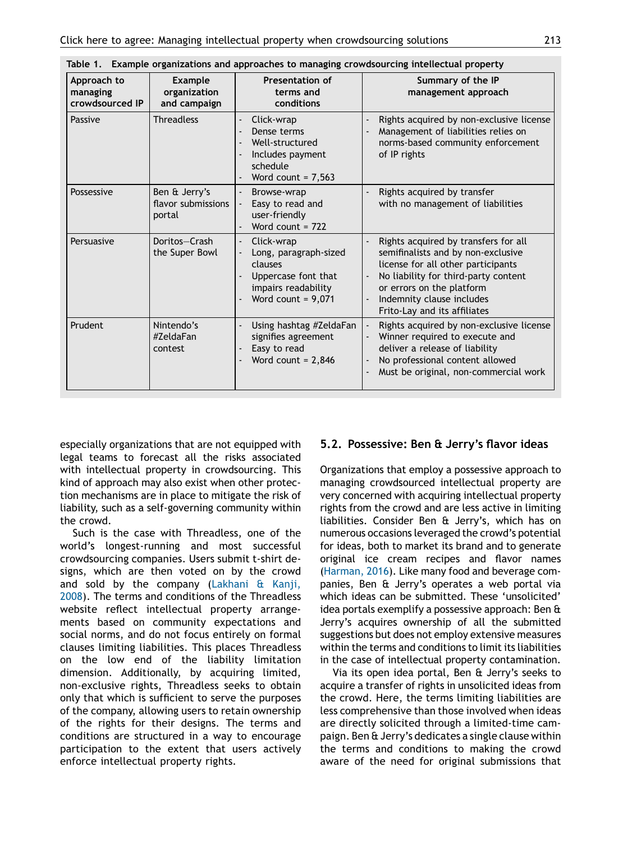| Approach to<br>managing<br>crowdsourced IP | Example<br>organization<br>and campaign       | <b>Presentation of</b><br>terms and<br>conditions                                                                    | Summary of the IP<br>management approach                                                                                                                                                                                                           |
|--------------------------------------------|-----------------------------------------------|----------------------------------------------------------------------------------------------------------------------|----------------------------------------------------------------------------------------------------------------------------------------------------------------------------------------------------------------------------------------------------|
| Passive                                    | <b>Threadless</b>                             | Click-wrap<br>Dense terms<br>Well-structured<br>Includes payment<br>schedule<br>Word count = $7,563$                 | Rights acquired by non-exclusive license<br>Management of liabilities relies on<br>norms-based community enforcement<br>of IP rights                                                                                                               |
| Possessive                                 | Ben & Jerry's<br>flavor submissions<br>portal | Browse-wrap<br>Easy to read and<br>user-friendly<br>Word count = $722$                                               | Rights acquired by transfer<br>with no management of liabilities                                                                                                                                                                                   |
| Persuasive                                 | Doritos-Crash<br>the Super Bowl               | Click-wrap<br>Long, paragraph-sized<br>clauses<br>Uppercase font that<br>impairs readability<br>Word count = $9,071$ | Rights acquired by transfers for all<br>semifinalists and by non-exclusive<br>license for all other participants<br>No liability for third-party content<br>or errors on the platform<br>Indemnity clause includes<br>Frito-Lay and its affiliates |
| Prudent                                    | Nintendo's<br>#ZeldaFan<br>contest            | Using hashtag #ZeldaFan<br>signifies agreement<br>Easy to read<br>Word count = $2,846$                               | Rights acquired by non-exclusive license<br>$\blacksquare$<br>Winner required to execute and<br>deliver a release of liability<br>No professional content allowed<br>Must be original, non-commercial work                                         |

<span id="page-6-0"></span>Table 1. Example organizations and approaches to managing crowdsourcing intellectual property

especially organizations that are not equipped with legal teams to forecast all the risks associated with intellectual property in crowdsourcing. This kind of approach may also exist when other protection mechanisms are in place to mitigate the risk of liability, such as a self-governing community within the crowd.

Such is the case with Threadless, one of the world's longest-running and most successful crowdsourcing companies. Users submit t-shirt designs, which are then voted on by the crowd and sold by the company ([Lakhani](#page-9-0) & Kanji, [2008\)](#page-9-0). The terms and conditions of the Threadless website reflect intellectual property arrangements based on community expectations and social norms, and do not focus entirely on formal clauses limiting liabilities. This places Threadless on the low end of the liability limitation dimension. Additionally, by acquiring limited, non-exclusive rights, Threadless seeks to obtain only that which is sufficient to serve the purposes of the company, allowing users to retain ownership of the rights for their designs. The terms and conditions are structured in a way to encourage participation to the extent that users actively enforce intellectual property rights.

## 5.2. Possessive: Ben & Jerry's flavor ideas

Organizations that employ a possessive approach to managing crowdsourced intellectual property are very concerned with acquiring intellectual property rights from the crowd and are less active in limiting liabilities. Consider Ben & Jerry's, which has on numerous occasions leveraged the crowd's potential for ideas, both to market its brand and to generate original ice cream recipes and flavor names [\(Harman,](#page-9-0) 2016). Like many food and beverage companies, Ben & Jerry's operates a web portal via which ideas can be submitted. These 'unsolicited' idea portals exemplify a possessive approach: Ben & Jerry's acquires ownership of all the submitted suggestions but does not employ extensive measures within the terms and conditions to limit its liabilities in the case of intellectual property contamination.

Via its open idea portal, Ben & Jerry's seeks to acquire a transfer of rights in unsolicited ideas from the crowd. Here, the terms limiting liabilities are less comprehensive than those involved when ideas are directly solicited through a limited-time campaign. Ben & Jerry's dedicates a single clause within the terms and conditions to making the crowd aware of the need for original submissions that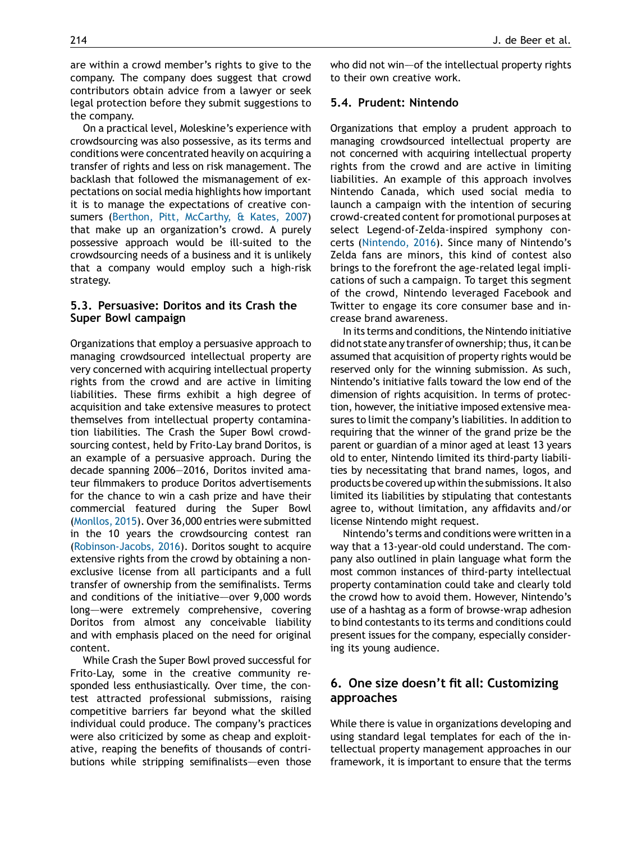are within a crowd member's rights to give to the company. The company does suggest that crowd contributors obtain advice from a lawyer or seek legal protection before they submit suggestions to the company.

On a practical level, Moleskine's experience with crowdsourcing was also possessive, as its terms and conditions were concentrated heavily on acquiring a transfer of rights and less on risk management. The backlash that followed the mismanagement of expectations on social media highlights how important it is to manage the expectations of creative consumers (Berthon, Pitt, [McCarthy,](#page-9-0) & Kates, 2007) that make up an organization's crowd. A purely possessive approach would be ill-suited to the crowdsourcing needs of a business and it is unlikely that a company would employ such a high-risk strategy.

## 5.3. Persuasive: Doritos and its Crash the Super Bowl campaign

Organizations that employ a persuasive approach to managing crowdsourced intellectual property are very concerned with acquiring intellectual property rights from the crowd and are active in limiting liabilities. These firms exhibit a high degree of acquisition and take extensive measures to protect themselves from intellectual property contamination liabilities. The Crash the Super Bowl crowdsourcing contest, held by Frito-Lay brand Doritos, is an example of a persuasive approach. During the decade spanning 2006—2016, Doritos invited amateur filmmakers to produce Doritos advertisements for the chance to win a cash prize and have their commercial featured during the Super Bowl ([Monllos,](#page-9-0) 2015). Over 36,000 entries were submitted in the 10 years the crowdsourcing contest ran ([Robinson-Jacobs,](#page-10-0) 2016). Doritos sought to acquire extensive rights from the crowd by obtaining a nonexclusive license from all participants and a full transfer of ownership from the semifinalists. Terms and conditions of the initiative—over 9,000 words long–—were extremely comprehensive, covering Doritos from almost any conceivable liability and with emphasis placed on the need for original content.

While Crash the Super Bowl proved successful for Frito-Lay, some in the creative community responded less enthusiastically. Over time, the contest attracted professional submissions, raising competitive barriers far beyond what the skilled individual could produce. The company's practices were also criticized by some as cheap and exploitative, reaping the benefits of thousands of contributions while stripping semifinalists—even those

who did not win--of the intellectual property rights to their own creative work.

## 5.4. Prudent: Nintendo

Organizations that employ a prudent approach to managing crowdsourced intellectual property are not concerned with acquiring intellectual property rights from the crowd and are active in limiting liabilities. An example of this approach involves Nintendo Canada, which used social media to launch a campaign with the intention of securing crowd-created content for promotional purposes at select Legend-of-Zelda-inspired symphony concerts [\(Nintendo,](#page-9-0) 2016). Since many of Nintendo's Zelda fans are minors, this kind of contest also brings to the forefront the age-related legal implications of such a campaign. To target this segment of the crowd, Nintendo leveraged Facebook and Twitter to engage its core consumer base and increase brand awareness.

In its terms and conditions, the Nintendo initiative did not state any transfer of ownership; thus, it can be assumed that acquisition of property rights would be reserved only for the winning submission. As such, Nintendo's initiative falls toward the low end of the dimension of rights acquisition. In terms of protection, however, the initiative imposed extensive measures to limit the company's liabilities. In addition to requiring that the winner of the grand prize be the parent or guardian of a minor aged at least 13 years old to enter, Nintendo limited its third-party liabilities by necessitating that brand names, logos, and products be covered up within the submissions. It also limited its liabilities by stipulating that contestants agree to, without limitation, any affidavits and/or license Nintendo might request.

Nintendo'sterms and conditions were written in a way that a 13-year-old could understand. The company also outlined in plain language what form the most common instances of third-party intellectual property contamination could take and clearly told the crowd how to avoid them. However, Nintendo's use of a hashtag as a form of browse-wrap adhesion to bind contestants to its terms and conditions could present issues for the company, especially considering its young audience.

## 6. One size doesn't fit all: Customizing approaches

While there is value in organizations developing and using standard legal templates for each of the intellectual property management approaches in our framework, it is important to ensure that the terms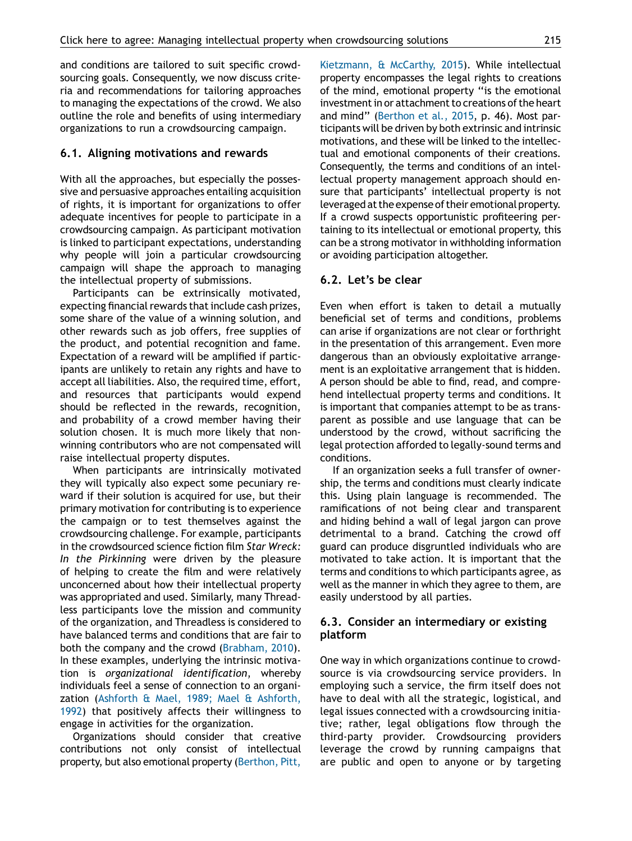and conditions are tailored to suit specific crowdsourcing goals. Consequently, we now discuss criteria and recommendations for tailoring approaches to managing the expectations of the crowd. We also outline the role and benefits of using intermediary organizations to run a crowdsourcing campaign.

#### 6.1. Aligning motivations and rewards

With all the approaches, but especially the possessive and persuasive approaches entailing acquisition of rights, it is important for organizations to offer adequate incentives for people to participate in a crowdsourcing campaign. As participant motivation is linked to participant expectations, understanding why people will join a particular crowdsourcing campaign will shape the approach to managing the intellectual property of submissions.

Participants can be extrinsically motivated, expecting financial rewards that include cash prizes, some share of the value of a winning solution, and other rewards such as job offers, free supplies of the product, and potential recognition and fame. Expectation of a reward will be amplified if participants are unlikely to retain any rights and have to accept all liabilities. Also, the required time, effort, and resources that participants would expend should be reflected in the rewards, recognition, and probability of a crowd member having their solution chosen. It is much more likely that nonwinning contributors who are not compensated will raise intellectual property disputes.

When participants are intrinsically motivated they will typically also expect some pecuniary reward if their solution is acquired for use, but their primary motivation for contributing is to experience the campaign or to test themselves against the crowdsourcing challenge. For example, participants in the crowdsourced science fiction film Star Wreck: In the Pirkinning were driven by the pleasure of helping to create the film and were relatively unconcerned about how their intellectual property was appropriated and used. Similarly, many Threadless participants love the mission and community of the organization, and Threadless is considered to have balanced terms and conditions that are fair to both the company and the crowd [\(Brabham,](#page-9-0) 2010). In these examples, underlying the intrinsic motivation is organizational identification, whereby individuals feel a sense of connection to an organization (Ashforth & Mael, 1989; Mael & [Ashforth,](#page-9-0) [1992](#page-9-0)) that positively affects their willingness to engage in activities for the organization.

Organizations should consider that creative contributions not only consist of intellectual property, but also emotional property [\(Berthon,](#page-9-0) Pitt, [Kietzmann,](#page-9-0) & McCarthy, 2015). While intellectual property encompasses the legal rights to creations of the mind, emotional property ''is the emotional investment in or attachment to creations of the heart and mind'' [\(Berthon](#page-9-0) et al., 2015, p. 46). Most participants will be driven by both extrinsic and intrinsic motivations, and these will be linked to the intellectual and emotional components of their creations. Consequently, the terms and conditions of an intellectual property management approach should ensure that participants' intellectual property is not leveraged at the expense of their emotional property. If a crowd suspects opportunistic profiteering pertaining to its intellectual or emotional property, this can be a strong motivator in withholding information or avoiding participation altogether.

#### 6.2. Let's be clear

Even when effort is taken to detail a mutually beneficial set of terms and conditions, problems can arise if organizations are not clear or forthright in the presentation of this arrangement. Even more dangerous than an obviously exploitative arrangement is an exploitative arrangement that is hidden. A person should be able to find, read, and comprehend intellectual property terms and conditions. It is important that companies attempt to be as transparent as possible and use language that can be understood by the crowd, without sacrificing the legal protection afforded to legally-sound terms and conditions.

If an organization seeks a full transfer of ownership, the terms and conditions must clearly indicate this. Using plain language is recommended. The ramifications of not being clear and transparent and hiding behind a wall of legal jargon can prove detrimental to a brand. Catching the crowd off guard can produce disgruntled individuals who are motivated to take action. It is important that the terms and conditions to which participants agree, as well as the manner in which they agree to them, are easily understood by all parties.

#### 6.3. Consider an intermediary or existing platform

One way in which organizations continue to crowdsource is via crowdsourcing service providers. In employing such a service, the firm itself does not have to deal with all the strategic, logistical, and legal issues connected with a crowdsourcing initiative; rather, legal obligations flow through the third-party provider. Crowdsourcing providers leverage the crowd by running campaigns that are public and open to anyone or by targeting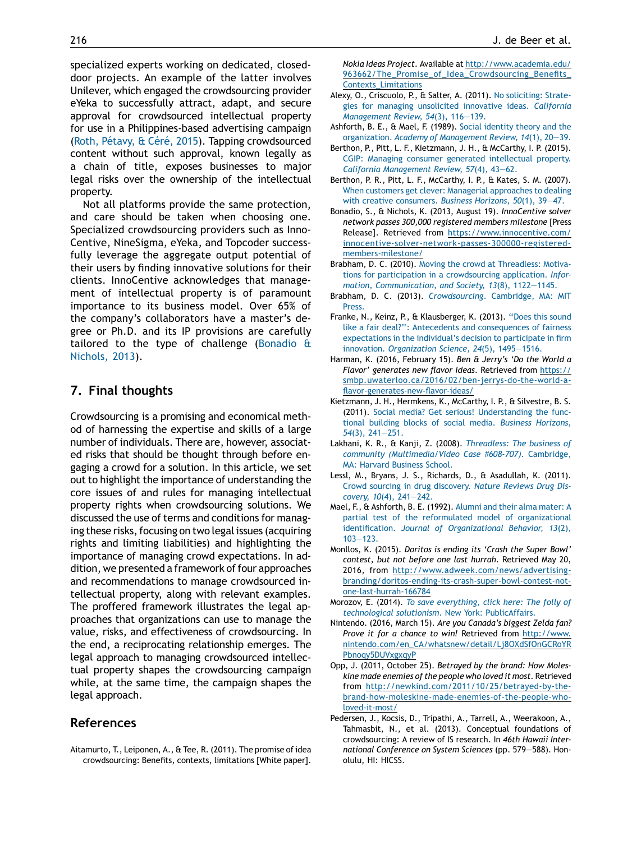<span id="page-9-0"></span>specialized experts working on dedicated, closeddoor projects. An example of the latter involves Unilever, which engaged the crowdsourcing provider eYeka to successfully attract, adapt, and secure approval for crowdsourced intellectual property for use in a Philippines-based advertising campaign (Roth, Pétavy, & Céré, 2015). Tapping crowdsourced content without such approval, known legally as a chain of title, exposes businesses to major legal risks over the ownership of the intellectual property.

Not all platforms provide the same protection, and care should be taken when choosing one. Specialized crowdsourcing providers such as Inno-Centive, NineSigma, eYeka, and Topcoder successfully leverage the aggregate output potential of their users by finding innovative solutions for their clients. InnoCentive acknowledges that management of intellectual property is of paramount importance to its business model. Over 65% of the company's collaborators have a master's degree or Ph.D. and its IP provisions are carefully tailored to the type of challenge (Bonadio & Nichols, 2013).

## 7. Final thoughts

Crowdsourcing is a promising and economical method of harnessing the expertise and skills of a large number of individuals. There are, however, associated risks that should be thought through before engaging a crowd for a solution. In this article, we set out to highlight the importance of understanding the core issues of and rules for managing intellectual property rights when crowdsourcing solutions. We discussed the use of terms and conditions for managing these risks, focusing on two legal issues (acquiring rights and limiting liabilities) and highlighting the importance of managing crowd expectations. In addition, we presented a framework of four approaches and recommendations to manage crowdsourced intellectual property, along with relevant examples. The proffered framework illustrates the legal approaches that organizations can use to manage the value, risks, and effectiveness of crowdsourcing. In the end, a reciprocating relationship emerges. The legal approach to managing crowdsourced intellectual property shapes the crowdsourcing campaign while, at the same time, the campaign shapes the legal approach.

## References

Aitamurto, T., Leiponen, A., & Tee, R. (2011). The promise of idea crowdsourcing: Benefits, contexts, limitations [White paper]. Nokia Ideas Project. Available at [http://www.academia.edu/](http://www.academia.edu/963662/The_Promise_of_Idea_Crowdsourcing_Benefits_Contexts_Limitations) [963662/The\\_Promise\\_of\\_Idea\\_Crowdsourcing\\_Benefits\\_](http://www.academia.edu/963662/The_Promise_of_Idea_Crowdsourcing_Benefits_Contexts_Limitations) [Contexts\\_Limitations](http://www.academia.edu/963662/The_Promise_of_Idea_Crowdsourcing_Benefits_Contexts_Limitations)

- Alexy, O., Criscuolo, P., & Salter, A. (2011). No [soliciting:](http://refhub.elsevier.com/S0007-6813(16)30124-0/sbref0010) Strategies for managing [unsolicited](http://refhub.elsevier.com/S0007-6813(16)30124-0/sbref0010) innovative ideas. California [Management](http://refhub.elsevier.com/S0007-6813(16)30124-0/sbref0010) Review, 54(3), 116—139.
- Ashforth, B. E., & Mael, F. (1989). Social [identity](http://refhub.elsevier.com/S0007-6813(16)30124-0/sbref0015) theory and the [organization.](http://refhub.elsevier.com/S0007-6813(16)30124-0/sbref0015) Academy of Management Review, 14(1), 20—39.
- Berthon, P., Pitt, L. F., Kietzmann, J. H., & McCarthy, I. P. (2015). CGIP: Managing consumer generated [intellectual](http://refhub.elsevier.com/S0007-6813(16)30124-0/sbref0020) property. California [Management](http://refhub.elsevier.com/S0007-6813(16)30124-0/sbref0020) Review, 57(4), 43—62.
- Berthon, P. R., Pitt, L. F., McCarthy, I. P., & Kates, S. M. (2007). When customers get clever: Managerial [approaches](http://refhub.elsevier.com/S0007-6813(16)30124-0/sbref0025) to dealing with creative [consumers.](http://refhub.elsevier.com/S0007-6813(16)30124-0/sbref0025) Business Horizons, 50(1), 39—47.
- Bonadio, S., & Nichols, K. (2013, August 19). InnoCentive solver network passes 300,000 registered members milestone [Press Release]. Retrieved from [https://www.innocentive.com/](https://www.innocentive.com/innocentive-solver-network-passes-300000-registered-members-milestone/) [innocentive-solver-network-passes-300000-registered](https://www.innocentive.com/innocentive-solver-network-passes-300000-registered-members-milestone/)[members-milestone/](https://www.innocentive.com/innocentive-solver-network-passes-300000-registered-members-milestone/)
- Brabham, D. C. (2010). Moving the crowd at [Threadless:](http://refhub.elsevier.com/S0007-6813(16)30124-0/sbref0035) Motivations for participation in a [crowdsourcing](http://refhub.elsevier.com/S0007-6813(16)30124-0/sbref0035) application. Information, [Communication,](http://refhub.elsevier.com/S0007-6813(16)30124-0/sbref0035) and Society, 13(8), 1122—1145.
- Brabham, D. C. (2013). [Crowdsourcing](http://refhub.elsevier.com/S0007-6813(16)30124-0/sbref0040). Cambridge, MA: MIT [Press](http://refhub.elsevier.com/S0007-6813(16)30124-0/sbref0040).
- Franke, N., Keinz, P., & Klausberger, K. (2013). [''Does](http://refhub.elsevier.com/S0007-6813(16)30124-0/sbref0045) this sound like a fair deal?'': Antecedents and [consequences](http://refhub.elsevier.com/S0007-6813(16)30124-0/sbref0045) of fairness [expectations](http://refhub.elsevier.com/S0007-6813(16)30124-0/sbref0045) in the individual's decision to participate in firm innovation. [Organization](http://refhub.elsevier.com/S0007-6813(16)30124-0/sbref0045) Science, 24(5), 1495—1516.
- Harman, K. (2016, February 15). Ben & Jerry's 'Do the World a Flavor' generates new flavor ideas. Retrieved from [https://](https://smbp.uwaterloo.ca/2016/02/ben-jerrys-do-the-world-a-flavor-generates-new-flavor-ideas/) [smbp.uwaterloo.ca/2016/02/ben-jerrys-do-the-world-a](https://smbp.uwaterloo.ca/2016/02/ben-jerrys-do-the-world-a-flavor-generates-new-flavor-ideas/)[flavor-generates-new-flavor-ideas/](https://smbp.uwaterloo.ca/2016/02/ben-jerrys-do-the-world-a-flavor-generates-new-flavor-ideas/)
- Kietzmann, J. H., Hermkens, K., McCarthy, I. P., & Silvestre, B. S. (2011). Social media? Get serious! [Understanding](http://refhub.elsevier.com/S0007-6813(16)30124-0/sbref0055) the functional building blocks of social media. Business [Horizons,](http://refhub.elsevier.com/S0007-6813(16)30124-0/sbref0055) 54(3), [241—251.](http://refhub.elsevier.com/S0007-6813(16)30124-0/sbref0055)
- Lakhani, K. R., & Kanji, Z. (2008). [Threadless:](http://refhub.elsevier.com/S0007-6813(16)30124-0/sbref0060) The business of community [\(Multimedia/Video](http://refhub.elsevier.com/S0007-6813(16)30124-0/sbref0060) Case #608-707). Cambridge, MA: Harvard [Business](http://refhub.elsevier.com/S0007-6813(16)30124-0/sbref0060) School.
- Lessl, M., Bryans, J. S., Richards, D., & Asadullah, K. (2011). Crowd sourcing in drug [discovery.](http://refhub.elsevier.com/S0007-6813(16)30124-0/sbref0065) Nature Reviews Drug Discovery, 10(4), [241—242.](http://refhub.elsevier.com/S0007-6813(16)30124-0/sbref0065)
- Mael, F., & Ashforth, B. E. (1992). Alumni and their alma [mater:](http://refhub.elsevier.com/S0007-6813(16)30124-0/sbref0070) A partial test of the reformulated model of [organizational](http://refhub.elsevier.com/S0007-6813(16)30124-0/sbref0070) identification. Journal of [Organizational](http://refhub.elsevier.com/S0007-6813(16)30124-0/sbref0070) Behavior, 13(2), [103—123](http://refhub.elsevier.com/S0007-6813(16)30124-0/sbref0070).
- Monllos, K. (2015). Doritos is ending its 'Crash the Super Bowl' contest, but not before one last hurrah. Retrieved May 20, 2016, from [http://www.adweek.com/news/advertising](http://www.adweek.com/news/advertising-branding/doritos-ending-its-crash-super-bowl-contest-not-one-last-hurrah-166784)[branding/doritos-ending-its-crash-super-bowl-contest-not](http://www.adweek.com/news/advertising-branding/doritos-ending-its-crash-super-bowl-contest-not-one-last-hurrah-166784)[one-last-hurrah-166784](http://www.adweek.com/news/advertising-branding/doritos-ending-its-crash-super-bowl-contest-not-one-last-hurrah-166784)
- Morozov, E. (2014). To save [everything,](http://refhub.elsevier.com/S0007-6813(16)30124-0/sbref0085) click here: The folly of [technological](http://refhub.elsevier.com/S0007-6813(16)30124-0/sbref0085) solutionism. New York: PublicAffairs.
- Nintendo. (2016, March 15). Are you Canada's biggest Zelda fan? Prove it for a chance to win! Retrieved from [http://www.](http://www.nintendo.com/en_CA/whatsnew/detail/Lj8OXdSfOnGCRoYRPbnoqy5DUVxgxqyP) [nintendo.com/en\\_CA/whatsnew/detail/Lj8OXdSfOnGCRoYR](http://www.nintendo.com/en_CA/whatsnew/detail/Lj8OXdSfOnGCRoYRPbnoqy5DUVxgxqyP) [Pbnoqy5DUVxgxqyP](http://www.nintendo.com/en_CA/whatsnew/detail/Lj8OXdSfOnGCRoYRPbnoqy5DUVxgxqyP)
- Opp, J. (2011, October 25). Betrayed by the brand: How Moleskine made enemies of the people who loved it most. Retrieved from [http://newkind.com/2011/10/25/betrayed-by-the](http://newkind.com/2011/10/25/betrayed-by-the-brand-how-moleskine-made-enemies-of-the-people-who-loved-it-most/)[brand-how-moleskine-made-enemies-of-the-people-who](http://newkind.com/2011/10/25/betrayed-by-the-brand-how-moleskine-made-enemies-of-the-people-who-loved-it-most/)[loved-it-most/](http://newkind.com/2011/10/25/betrayed-by-the-brand-how-moleskine-made-enemies-of-the-people-who-loved-it-most/)
- Pedersen, J., Kocsis, D., Tripathi, A., Tarrell, A., Weerakoon, A., Tahmasbit, N., et al. (2013). Conceptual foundations of crowdsourcing: A review of IS research. In 46th Hawaii International Conference on System Sciences (pp. 579—588). Honolulu, HI: HICSS.